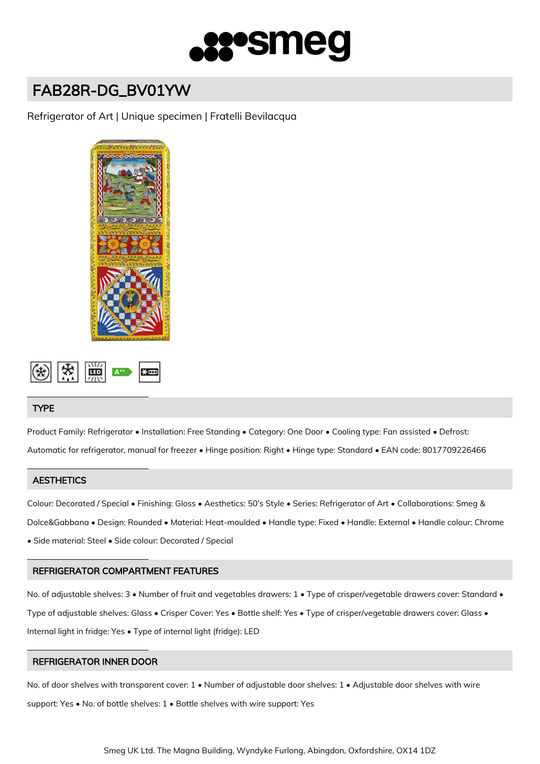

# FAB28R-DG\_BV01YW

Refrigerator of Art | Unique specimen | Fratelli Bevilacqua





# TYPE

Product Family: Refrigerator • Installation: Free Standing • Category: One Door • Cooling type: Fan assisted • Defrost: Automatic for refrigerator, manual for freezer • Hinge position: Right • Hinge type: Standard • EAN code: 8017709226466

# **AESTHETICS**

Colour: Decorated / Special • Finishing: Gloss • Aesthetics: 50's Style • Series: Refrigerator of Art • Collaborations: Smeg & Dolce&Gabbana • Design: Rounded • Material: Heat-moulded • Handle type: Fixed • Handle: External • Handle colour: Chrome • Side material: Steel • Side colour: Decorated / Special

# REFRIGERATOR COMPARTMENT FEATURES

No. of adjustable shelves: 3 • Number of fruit and vegetables drawers: 1 • Type of crisper/vegetable drawers cover: Standard • Type of adjustable shelves: Glass • Crisper Cover: Yes • Bottle shelf: Yes • Type of crisper/vegetable drawers cover: Glass • Internal light in fridge: Yes • Type of internal light (fridge): LED

# REFRIGERATOR INNER DOOR

No. of door shelves with transparent cover: 1 • Number of adjustable door shelves: 1 • Adjustable door shelves with wire support: Yes • No. of bottle shelves: 1 • Bottle shelves with wire support: Yes